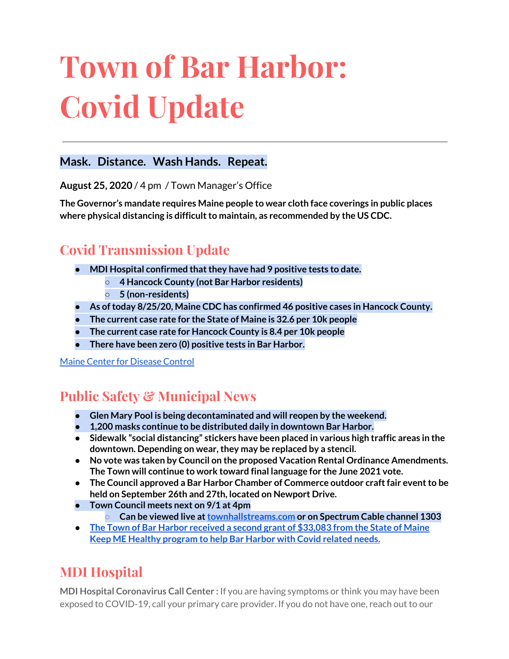# **Town of Bar Harbor: Covid Update**

### **Mask. Distance. Wash Hands. Repeat.**

**August 25, 2020** / 4 pm / Town Manager's Office

**The Governor's mandate requires Maine people to wear cloth face coverings in public places where physical distancing is difficultto maintain, as recommended by the US CDC.**

## **Covid Transmission Update**

- **● MDI Hospital confirmed thatthey have had 9 positive tests to date.**
	- **○ 4 Hancock County (not Bar Harbor residents)**
	- **○ 5 (non-residents)**
- **● As oftoday 8/25/20, Maine CDC has confirmed 46 positive cases in Hancock County.**
- **● The current case rate for the State of Maine is 32.6 per 10k people**
- **● The current case rate for Hancock County is 8.4 per 10k people**
- **There have been zero (0) positive tests in Bar Harbor.**

Maine Center for [Disease](https://www.maine.gov/dhhs/mecdc/infectious-disease/epi/airborne/coronavirus.shtml) Control

## **Public Safety & Municipal News**

- **● Glen Mary Pool is being decontaminated and will reopen by the weekend.**
- **● 1,200 masks continue to be distributed daily in downtown Bar Harbor.**
- **● Sidewalk "social distancing" stickers have been placed in various high traffic areas in the downtown. Depending on wear,they may be replaced by a stencil.**
- **● No vote was taken by Council on the proposed Vacation Rental Ordinance Amendments. The Town will continue to work toward final language for the June 2021 vote.**
- **● The Council approved a Bar Harbor Chamber of Commerce outdoor craftfair eventto be held on September 26th and 27th, located on Newport Drive.**
- **● Town Council meets next on 9/1 at 4pm**
	- **○ Can be viewed live at[townhallstreams.com](https://townhallstreams.com/) or on Spectrum Cable channel 1303**
- **● The Town of Bar Harbor [received](https://www.maine.gov/governor/mills/news/mills-administration-approves-second-round-covid-19-prevention-and-protection-awards-under) a second grant of \$33,083 from the State of Maine Keep ME Healthy [program](https://www.maine.gov/governor/mills/news/mills-administration-approves-second-round-covid-19-prevention-and-protection-awards-under) to help Bar Harbor with Covid related needs.**

## **MDI Hospital**

**MDI Hospital Coronavirus Call Center :** If you are having symptoms or think you may have been exposed to COVID-19, call your primary care provider. If you do not have one, reach out to our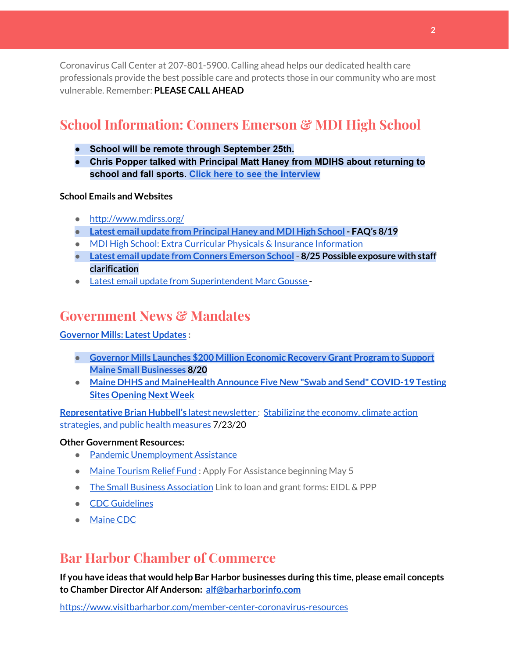Coronavirus Call Center at 207-801-5900. Calling ahead helps our dedicated health care professionals provide the best possible care and protects those in our community who are most vulnerable. Remember: **PLEASE CALL AHEAD**

## **School Information: Conners Emerson & MDI High School**

- **● School will be remote through September 25th.**
- **● Chris Popper talked with Principal Matt Haney from MDIHS about returning to school and fall sports. Click here to see the [interview](https://wdea.am/matt-haney-interview-august-20-video/?trackback=fbshare_mobile&fbclid=IwAR1D7TCctiFXeWQAOz7eUKOgnhS27wwAHTcza1sCsjWt_GcsSERBEIeL3pM)**

#### **School Emails and Websites**

- <http://www.mdirss.org/>
- **● Latest email update from [Principal](https://docs.google.com/document/d/1OKDsYNtOgV0FI9xAcXwQvenOKLV0S2vBg1o5jtu5CrE/edit?usp=sharing) Haney and MDI High School - FAQ's 8/19**
- MDI High School: Extra Curricular Physicals & Insurance [Information](https://wdea.am/mdihs-extracurricular-activity-physicals-and-insurance-information/?trackback=fbshare_mobile&fbclid=IwAR0wxPd824oG1ATLwkeI9s9n2sdpvEiyxeJGgB_mh2BlEJNT_AXiMynkobs)
- **● Latest email update from Conners [Emerson](https://docs.google.com/document/d/1v3pgkG6Q-9S3gisuUIj4etPVDwgBKl4P00JBkvZr-kk/edit?usp=sharing) School - 8/25 Possible exposure with staff clarification**
- Latest email update from [Superintendent](https://docs.google.com/document/d/1fzeCbc8gpTSKmUaDoQH1Avx5PVl-h0reFphXrT1eUNA/edit?usp=sharing) Marc Gousse -

## **Government News & Mandates**

#### **[Governor](https://www.maine.gov/governor/mills/) Mills: Latest Updates :**

- **● Governor Mills Launches \$200 Million [Economic](https://www.maine.gov/governor/mills/news/governor-mills-launches-200-million-economic-recovery-grant-program-support-maine-small) Recovery Grant Program to Support Maine Small [Businesses](https://www.maine.gov/governor/mills/news/governor-mills-launches-200-million-economic-recovery-grant-program-support-maine-small) 8/20**
- **Maine DHHS and [MaineHealth](https://www.maine.gov/governor/mills/news/maine-dhhs-and-mainehealth-announce-five-new-swab-and-send-covid-19-testing-sites-opening-next) Announce Five New "Swab and Send" COVID-19 Testing Sites [Opening](https://www.maine.gov/governor/mills/news/maine-dhhs-and-mainehealth-announce-five-new-swab-and-send-covid-19-testing-sites-opening-next) Next Week**

**[Representative](http://www.rephubbell.com/) Brian Hubbell's** latest [newsletter](http://www.rephubbell.com/) : [Stabilizing](http://www.rephubbell.com/2020/07/23/stabilizing-the-economy-climate-action-strategies-and-public-health-measures/) the economy, climate action [strategies,](http://www.rephubbell.com/2020/07/23/stabilizing-the-economy-climate-action-strategies-and-public-health-measures/) and public health measures 7/23/20

#### **Other Government Resources:**

- Pandemic [Unemployment](https://www.maine.gov/unemployment/pua/) Assistance
- Maine [Tourism](https://www.mainetourism.com/maine-tourism-relief-fund/) Relief Fund: Apply For Assistance beginning May 5
- The Small Business [Association](https://www.sba.gov/) Link to loan and grant forms: EIDL & PPP
- CDC [Guidelines](https://www.cdc.gov/coronavirus/2019-nCoV/index.html)
- [Maine](https://www.maine.gov/dhhs/mecdc/infectious-disease/epi/airborne/coronavirus.shtml#news) CDC

## **Bar Harbor Chamber of Commerce**

**If you have ideas that would help Bar Harbor businesses during this time, please email concepts to Chamber Director Alf Anderson: [alf@barharborinfo.com](mailto:alf@barharborinfo.com)**

<https://www.visitbarharbor.com/member-center-coronavirus-resources>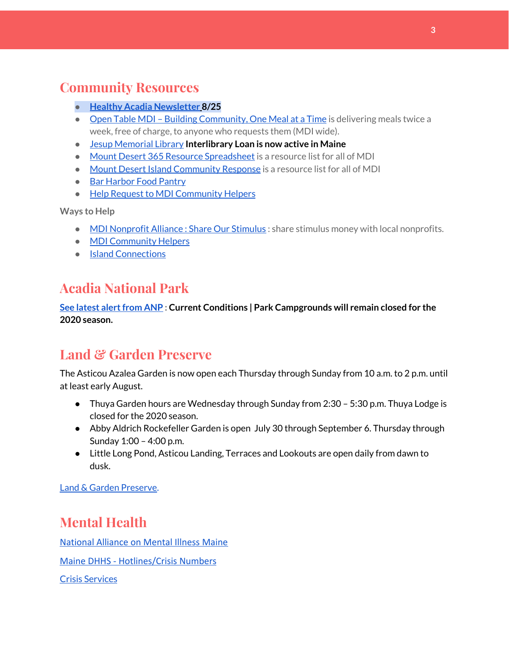## **Community Resources**

- **● Healthy Acadia [Newsletter](https://mailchi.mp/healthyacadia.org/august_25_2020?e=e6ccd2569f) [8](https://mailchi.mp/healthyacadia.org/august_25_2020?e=e6ccd2569f)/25**
- Open Table MDI Building [Community,](https://www.opentablemdi.org/) One Meal at a Time is delivering meals twice a week, free of charge, to anyone who requests them (MDI wide).
- Jesup [Memorial](https://jesuplibrary.org/) Library **Interlibrary Loan is now active in Maine**
- Mount Desert 365 Resource [Spreadsheet](https://docs.google.com/spreadsheets/d/1okAx6HSsgXZY9CGH07Dzi6rqe7a6m4dLCPKot2Li7Ek/edit?usp=sharing) is a resource list for all of MDI
- Mount Desert Island [Community](https://www.mdicr.org/) Response is a resource list for all of MDI
- Bar [Harbor](https://www.barharborfoodpantry.org/) Food Pantry
- Help Request to MDI [Community](https://docs.google.com/forms/d/e/1FAIpQLSeZfu0tCcthHc9oL7tPomVRdniYiE7nbT_kkK9iCSRgqDhOvQ/viewform) Helpers

**Ways to Help**

- MDI [Nonprofit](https://sites.google.com/mdina.org/public/sos-mdi?authuser=0) Alliance : Share Our Stimulus : share stimulus money with local nonprofits.
- **MDI [Community](https://docs.google.com/forms/d/e/1FAIpQLSe_CJUFdVvwJkmymWRqUeK8bx3m7n4uSOuUPYHqXSAyH2DBoQ/viewform?fbclid=IwAR25hjnWGhnMP0lOWMcBPRBumhtQCJGZO4hlk-T-VjNGZljL1kVX5pWrL6U) Helpers**
- Island [Connections](http://islconnections.org/contact-us/)

## **Acadia National Park**

**See latest [alertfrom](https://www.nps.gov/acad/planyourvisit/conditions.htm) ANP : Current Conditions | Park Campgrounds will remain closed for the 2020 season.**

## **Land & Garden Preserve**

The Asticou Azalea Garden is now open each Thursday through Sunday from 10 a.m. to 2 p.m. until at least early August.

- Thuya Garden hours are Wednesday through Sunday from 2:30 5:30 p.m. Thuya Lodge is closed for the 2020 season.
- Abby Aldrich Rockefeller Garden is open July 30 through September 6. Thursday through Sunday 1:00 – 4:00 p.m.
- Little Long Pond, Asticou Landing, Terraces and Lookouts are open daily from dawn to dusk.

Land & Garden [Preserve.](https://www.gardenpreserve.org/)

## **Mental Health**

[National Alliance on Mental Illness Maine](https://www.namimaine.org/)

[Maine DHHS - Hotlines/Crisis Numbers](https://www.maine.gov/dhhs/hotlines.shtml)

Crisis [Services](https://www.sweetser.org/programs-services/services-for-adults/crisis-services/)